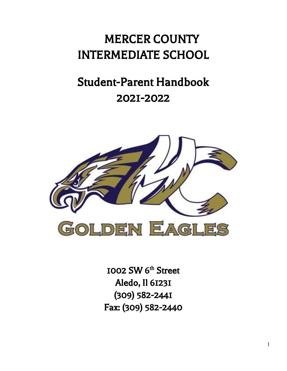# MERCER COUNTY INTERMEDIATE SCHOOL

# Student-Parent Handbook 2021-2022



1002 SW 6<sup>th</sup> Street Aledo, Il 61231 (309) 582-2441 Fax: (309) 582-2440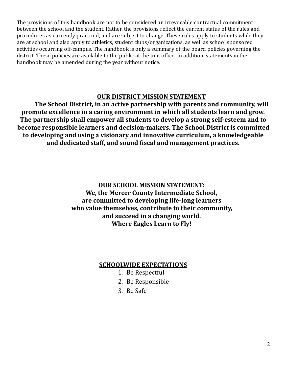The provisions of this handbook are not to be considered an irrevocable contractual commitment between the school and the student. Rather, the provisions reflect the current status of the rules and procedures as currently practiced, and are subject to change. These rules apply to students while they are at school and also apply to athletics, student clubs/organizations, as well as school sponsored activities occurring off-campus. The handbook is only a summary of the board policies governing the district. These policies are available to the public at the unit office. In addition, statements in the handbook may be amended during the year without notice.

# **OUR DISTRICT MISSION STATEMENT**

**The School District, in an active partnership with parents and community, will promote excellence in a caring environment in which all students learn and grow. The partnership shall empower all students to develop a strong self-esteem and to become responsible learners and decision-makers. The School District is committed to developing and using a visionary and innovative curriculum, a knowledgeable and dedicated staff, and sound fiscal and management practices.**

# **OUR SCHOOL MISSION STATEMENT:**

**We, the Mercer County Intermediate School, are committed to developing life-long learners who value themselves, contribute to their community, and succeed in a changing world. Where Eagles Learn to Fly!**

# **SCHOOLWIDE EXPECTATIONS**

- 1. Be Respectful
- 2. Be Responsible
- 3. Be Safe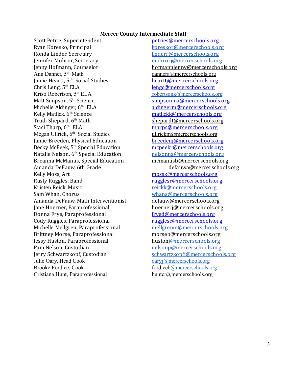#### **Mercer County Intermediate Staff**

Scott Petrie, Superintendent [petries@mercerschools.org](mailto:petries@mercerschools.org) Ryan Koresko, Principal [koreskor@mercerschools.org](mailto:koreskor@mercerschools.org) Ronda Linder, Secretary [linderr@mercerschools.org](mailto:linderr@mercerschools.org) Jennifer Mohror, Secretary [mohrorj@mercerschools.org](mailto:mohrorj@mercerschools.org) Jenny Hofmann, Counselor hofmannjenny@mercerschools.org Ann Danner, 5 Jamie Heartt, 5 Chris Leng, 5<sup>th</sup> ELA Kristi Robertson, 5 Matt Simpson, 5<sup>th</sup> Science Michelle Aldinger, 6<sup>th</sup> ELA Kelly Matlick, 6<sup>th</sup> Science Trudi Shepard, 6<sup>th</sup> Math Staci Tharp, 6<sup>th</sup> ELA Megan Ullrick, 6<sup>th</sup> Jamie Breeden, Physical Education [breedenj@mercerschools.org](mailto:breedenj@mercerschools.org) Becky McPeek, 5<sup>th</sup> Special Education Natalie Nelson, 6<sup>th</sup> Special Education Breanna McManus, Special Education mcmanusb@mercerschools.org Amanda DeFauw, 6th Grade defauwa@mercerschools.org Kelly Moss, Art [mossk@mercerschools.org](mailto:mossk@mercerschools.org) Rusty Ruggles, Band [rugglesr@mercerschools.org](mailto:rugglesr@mercerschools.org) Kristen Reick, Music [reickk@mercerschools.org](mailto:reickk@mercerschools.org) Sam Whan, Chorus [whans@mercerschools.org](mailto:whans@mercerschools.org) Amanda DeFauw, Math Interventionist defauw@mercerschools.org Jane Hoerner, Paraprofessional hoernerj@mercerschools.org Donna Frye, Paraprofessional [fryed@mercerschools.org](mailto:fryed@mercerschools.org) Cody Ruggles, Paraprofessional [rugglesc@mercerschools.org](mailto:rugglesc@mercerschools.org) Michelle Mellgren, Paraprofessional [mellgrenm@mercerschools.org](mailto:mellgrenm@mercerschools.org) Brittney Morse, Paraprofessional morseb@mercerschools.org Jessy Huston, Paraprofessional huston[j@mercerschools.org](mailto:boruffm@mercerschools.org) Pam Nelson, Custodian [nelsonp@mercerschools.org](mailto:nelsonp@mercerschools.org) Jerry Schwartzkopf, Custodian [schwartzkopfj@mercerschools.org](mailto:schwartzkopfj@mercerschools.org) Julie Oary, Head Cook oaryj $\omega$ mercerschools.org Brooke Fordice, Cook fordiceb[@mercerschools.org](mailto:hustonbro@mercerschools.org) Cristiana Hunt, Paraprofessional huntcr@mercerschools.org

 $dannera@mercerschools.org$ heartti@mercerschools.org [lengc@mercerschools.org](mailto:lengc@mercerschools.org)  $robertsonk@mercerschools.org$ [simpsonma@mercerschools.org](mailto:simpsonma@mercerschools.org) [aldingerm@mercerschools.org](mailto:aldingerm@mercerschools.org) [matlickk@mercerschools.org](mailto:matlickk@mercerschools.org) shepardt@mercerschools.org [tharps@mercerschools.org](mailto:tharps@mercerschools.org)  $ulricha@mercerschools.org$ [mcpeekr@mercerschools.org](mailto:mcpeekr@mercerschools.org) [nelsonna@mercerschools.org](mailto:nelsonna@mercerschools.org)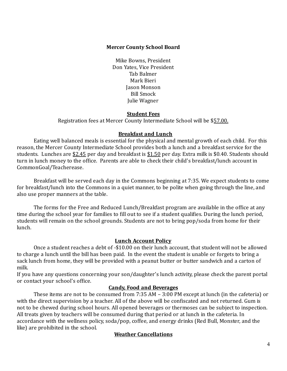## **Mercer County School Board**

Mike Bowns, President Don Yates, Vice President Tab Balmer Mark Bieri Jason Monson Bill Smock Julie Wagner

## **Student Fees**

Registration fees at Mercer County Intermediate School will be \$57.00.

## **Breakfast and Lunch**

Eating well balanced meals is essential for the physical and mental growth of each child. For this reason, the Mercer County Intermediate School provides both a lunch and a breakfast service for the students. Lunches are \$2.45 per day and breakfast is \$1.50 per day. Extra milk is \$0.40. Students should turn in lunch money to the office. Parents are able to check their child's breakfast/lunch account in CommonGoal/Teacherease.

Breakfast will be served each day in the Commons beginning at 7:35. We expect students to come for breakfast/lunch into the Commons in a quiet manner, to be polite when going through the line, and also use proper manners at the table.

The forms for the Free and Reduced Lunch/Breakfast program are available in the office at any time during the school year for families to fill out to see if a student qualifies. During the lunch period, students will remain on the school grounds. Students are not to bring pop/soda from home for their lunch.

# **Lunch Account Policy**

Once a student reaches a debt of -\$10.00 on their lunch account, that student will not be allowed to charge a lunch until the bill has been paid. In the event the student is unable or forgets to bring a sack lunch from home, they will be provided with a peanut butter or butter sandwich and a carton of milk.

If you have any questions concerning your son/daughter's lunch activity, please check the parent portal or contact your school's office.

# **Candy, Food and Beverages**

These items are not to be consumed from 7:35 AM – 3:00 PM except at lunch (in the cafeteria) or with the direct supervision by a teacher. All of the above will be confiscated and not returned. Gum is not to be chewed during school hours. All opened beverages or thermoses can be subject to inspection. All treats given by teachers will be consumed during that period or at lunch in the cafeteria. In accordance with the wellness policy, soda/pop, coffee, and energy drinks (Red Bull, Monster, and the like) are prohibited in the school.

## **Weather Cancellations**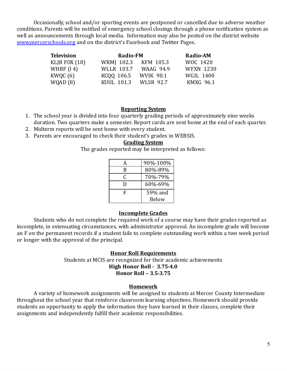Occasionally, school and/or sporting events are postponed or cancelled due to adverse weather conditions. Parents will be notified of emergency school closings through a phone notification system as well as announcements through local media. Information may also be posted on the district website [www.mercerschools.org](http://www.mercerschools.org/) and on the district's Facebook and Twitter Pages.

| <b>Television</b> | <b>Radio-FM</b>   |                  | <b>Radio-AM</b>  |
|-------------------|-------------------|------------------|------------------|
| KLJB FOX $(18)$   | WRMJ 102.3        | KFM 105.3        | WOC 1420         |
| WHBF $(14)$       | <b>WLLR 103.7</b> | WAAG 94.9        | <b>WFXN 1230</b> |
| KWQC $(6)$        | KCQQ 106.5        | WVIK 90.1        | <b>WGIL 1400</b> |
| WQAD(8)           | KUUL 101.3        | <b>WLSR 92.7</b> | <b>KMXG 96.1</b> |

#### **Reporting System**

- 1. The school year is divided into four quarterly grading periods of approximately nine weeks duration. Two quarters make a semester. Report cards are sent home at the end of each quarter.
- 2. Midterm reports will be sent home with every student.
- 3. Parents are encouraged to check their student's grades in WEBSIS.

#### **Grading System**

The grades reported may be interpreted as follows:

| А | 90%-100% |
|---|----------|
| B | 80%-89%  |
| C | 70%-79%  |
| D | 60%-69%  |
| F | 59% and  |
|   | Below    |

#### **Incomplete Grades**

Students who do not complete the required work of a course may have their grades reported as incomplete, in extenuating circumstances, with administrator approval. An incomplete grade will become an F on the permanent records if a student fails to complete outstanding work within a two week period or longer with the approval of the principal.

## **Honor Roll Requirements**

Students at MCIS are recognized for their academic achievements **High Honor Roll - 3.75-4.0 Honor Roll – 3.5-3.75**

#### **Homework**

A variety of homework assignments will be assigned to students at Mercer County Intermediate throughout the school year that reinforce classroom learning objectives. Homework should provide students an opportunity to apply the information they have learned in their classes, complete their assignments and independently fulfill their academic responsibilities.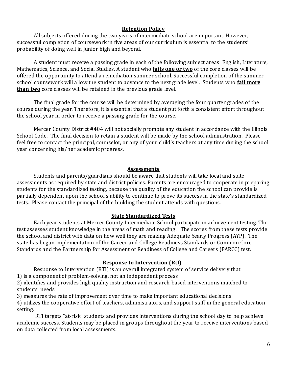## **Retention Policy**

All subjects offered during the two years of intermediate school are important. However, successful completion of coursework in five areas of our curriculum is essential to the students' probability of doing well in junior high and beyond.

A student must receive a passing grade in each of the following subject areas: English, Literature, Mathematics, Science, and Social Studies. A student who **fails one or two** of the core classes will be offered the opportunity to attend a remediation summer school. Successful completion of the summer school coursework will allow the student to advance to the next grade level. Students who **fail more than two** core classes will be retained in the previous grade level.

The final grade for the course will be determined by averaging the four quarter grades of the course during the year. Therefore, it is essential that a student put forth a consistent effort throughout the school year in order to receive a passing grade for the course.

Mercer County District #404 will not socially promote any student in accordance with the Illinois School Code. The final decision to retain a student will be made by the school administration. Please feel free to contact the principal, counselor, or any of your child's teachers at any time during the school year concerning his/her academic progress.

#### **Assessments**

Students and parents/guardians should be aware that students will take local and state assessments as required by state and district policies. Parents are encouraged to cooperate in preparing students for the standardized testing, because the quality of the education the school can provide is partially dependent upon the school's ability to continue to prove its success in the state's standardized tests. Please contact the principal of the building the student attends with questions.

## **State Standardized Tests**

Each year students at Mercer County Intermediate School participate in achievement testing. The test assesses student knowledge in the areas of math and reading. The scores from these tests provide the school and district with data on how well they are making Adequate Yearly Progress (AYP). The state has begun implementation of the Career and College Readiness Standards or Common Core Standards and the Partnership for Assessment of Readiness of College and Careers (PARCC) test.

## **Response to Intervention (RtI)\_**

Response to Intervention (RTI) is an overall integrated system of service delivery that 1) is a component of problem-solving, not an independent process

2) identifies and provides high quality instruction and research-based interventions matched to students' needs

3) measures the rate of improvement over time to make important educational decisions

4) utilizes the cooperative effort of teachers, administrators, and support staff in the general education setting.

RTI targets "at-risk" students and provides interventions during the school day to help achieve academic success. Students may be placed in groups throughout the year to receive interventions based on data collected from local assessments.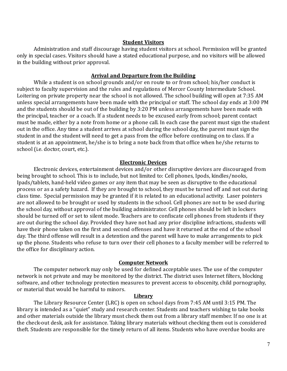#### **Student Visitors**

Administration and staff discourage having student visitors at school. Permission will be granted only in special cases. Visitors should have a stated educational purpose, and no visitors will be allowed in the building without prior approval.

#### **Arrival and Departure from the Building**

While a student is on school grounds and/or en route to or from school; his/her conduct is subject to faculty supervision and the rules and regulations of Mercer County Intermediate School. Loitering on private property near the school is not allowed. The school building will open at 7:35 AM unless special arrangements have been made with the principal or staff. The school day ends at 3:00 PM and the students should be out of the building by 3:20 PM unless arrangements have been made with the principal, teacher or a coach. If a student needs to be excused early from school; parent contact must be made, either by a note from home or a phone call. In each case the parent must sign the student out in the office. Any time a student arrives at school during the school day, the parent must sign the student in and the student will need to get a pass from the office before continuing on to class. If a student is at an appointment, he/she is to bring a note back from that office when he/she returns to school (i.e. doctor, court, etc.).

#### **Electronic Devices**

Electronic devices, entertainment devices and/or other disruptive devices are discouraged from being brought to school. This is to include, but not limited to: Cell phones, Ipods, kindles/nooks, Ipads/tablets, hand-held video games or any item that may be seen as disruptive to the educational process or as a safety hazard. If they are brought to school, they must be turned off and not out during class time. Special permission may be granted if it is related to an educational activity. Laser pointers are not allowed to be brought or used by students in the school. Cell phones are not to be used during the school day, without approval of the building administrator. Cell phones should be left in lockers should be turned off or set to silent mode. Teachers are to confiscate cell phones from students if they are out during the school day. Provided they have not had any prior discipline infractions, students will have their phone taken on the first and second offenses and have it returned at the end of the school day. The third offense will result in a detention and the parent will have to make arrangements to pick up the phone. Students who refuse to turn over their cell phones to a faculty member will be referred to the office for disciplinary action.

#### **Computer Network**

The computer network may only be used for defined acceptable uses. The use of the computer network is not private and may be monitored by the district. The district uses Internet filters, blocking software, and other technology protection measures to prevent access to obscenity, child pornography, or material that would be harmful to minors.

#### **Library**

The Library Resource Center (LRC) is open on school days from 7:45 AM until 3:15 PM. The library is intended as a "quiet" study and research center. Students and teachers wishing to take books and other materials outside the library must check them out from a library staff member. If no one is at the check-out desk, ask for assistance. Taking library materials without checking them out is considered theft. Students are responsible for the timely return of all items. Students who have overdue books are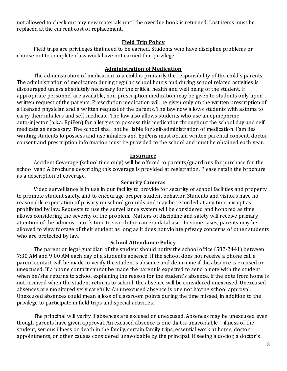not allowed to check out any new materials until the overdue book is returned. Lost items must be replaced at the current cost of replacement.

#### **Field Trip Policy**

Field trips are privileges that need to be earned. Students who have discipline problems or choose not to complete class work have not earned that privilege.

#### **Administration of Medication**

The administration of medication to a child is primarily the responsibility of the child's parents. The administration of medication during regular school hours and during school related activities is discouraged unless absolutely necessary for the critical health and well being of the student. If appropriate personnel are available, non-prescription medication may be given to students only upon written request of the parents. Prescription medication will be given only on the written prescription of a licensed physician and a written request of the parents. The law now allows students with asthma to carry their inhalers and self-medicate. The law also allows students who use an epinephrine auto-injector (a.k.a. EpiPen) for allergies to possess this medication throughout the school day and self medicate as necessary. The school shall not be liable for self-administration of medication. Families wanting students to possess and use inhalers and EpiPens must obtain written parental consent, doctor consent and prescription information must be provided to the school and must be obtained each year.

#### **Insurance**

Accident Coverage (school time only) will be offered to parents/guardians for purchase for the school year. A brochure describing this coverage is provided at registration. Please retain the brochure as a description of coverage.

#### **Security Cameras**

Video surveillance is in use in our facility to provide for security of school facilities and property to promote student safety, and to encourage proper student behavior. Students and visitors have no reasonable expectation of privacy on school grounds and may be recorded at any time, except as prohibited by law. Requests to use the surveillance system will be considered and honored as time allows considering the severity of the problem. Matters of discipline and safety will receive primary attention of the administrator's time to search the camera database. In some cases, parents may be allowed to view footage of their student as long as it does not violate privacy concerns of other students who are protected by law.

#### **School Attendance Policy**

The parent or legal guardian of the student should notify the school office (582-2441) between 7:30 AM and 9:00 AM each day of a student's absence. If the school does not receive a phone call a parent contact will be made to verify the student's absence and determine if the absence is excused or unexcused. If a phone contact cannot be made the parent is expected to send a note with the student when he/she returns to school explaining the reason for the student's absence. If the note from home is not received when the student returns to school, the absence will be considered unexcused. Unexcused absences are monitored very carefully. An unexcused absence is one not having school approval. Unexcused absences could mean a loss of classroom points during the time missed, in addition to the privilege to participate in field trips and special activities.

The principal will verify if absences are excused or unexcused. Absences may be unexcused even though parents have given approval. An excused absence is one that is unavoidable – illness of the student, serious illness or death in the family, certain family trips, essential work at home, doctor appointments, or other causes considered unavoidable by the principal. If seeing a doctor, a doctor's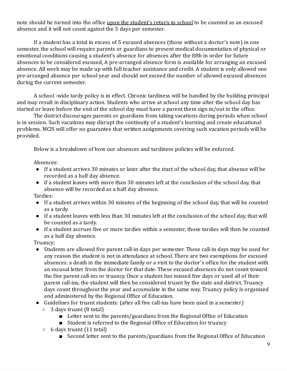note should be turned into the office upon the student's return to school to be counted as an excused absence and it will not count against the 5 days per semester.

If a student has a total in excess of 5 excused absences (those without a doctor's note) in one semester, the school will require parents or guardians to present medical documentation of physical or emotional conditions causing a student's absence for absences after the fifth in order for future absences to be considered excused. A pre-arranged absence form is available for arranging an excused absence. All work may be made up with full teacher assistance and credit. A student is only allowed one pre-arranged absence per school year and should not exceed the number of allowed excused absences during the current semester.

A school -wide tardy policy is in effect. Chronic tardiness will be handled by the building principal and may result in disciplinary action. Students who arrive at school any time after the school day has started or leave before the end of the school day must have a parent them sign in/out in the office.

The district discourages parents or guardians from taking vacations during periods when school is in session. Such vacations may disrupt the continuity of a student's learning and create educational problems. MCIS will offer no guarantee that written assignments covering such vacation periods will be provided.

Below is a breakdown of how our absences and tardiness policies will be enforced.

Absences:

- If a student arrives 30 minutes or later after the start of the school day, that absence will be recorded as a half day absence.
- if a student leaves with more than 30 minutes left at the conclusion of the school day, that absence will be recorded as a half day absence.

Tardies:

- If a student arrives within 30 minutes of the beginning of the school day, that will be counted as a tardy.
- If a student leaves with less than 30 minutes left at the conclusion of the school day, that will be counted as a tardy.
- If a student accrues five or more tardies within a semester, those tardies will then be counted as a half day absence.

Truancy:

- Students are allowed five parent call-in days per semester. These call-in days may be used for any reason the student is not in attendance at school. There are two exemptions for excused absences: a death in the immediate family or a visit to the doctor's office for the student with an excusal letter from the doctor for that date. These excused absences do not count toward the five parent call-ins or truancy. Once a student has missed five days or used all of their parent call-ins, the student will then be considered truant by the state and district. Truancy days count throughout the year and accumulate in the same way. Truancy policy is organized and administered by the Regional Office of Education.
- Guidelines for truant students: (after all five call-ins have been used in a semester)  $\circ$  3 days truant (8 total)
	- Letter sent to the parents/guardians from the Regional Office of Education
	- Student is referred to the Regional Office of Education for truancy
	- $\circ$  6 days truant (11 total)
		- Second letter sent to the parents/guardians from the Regional Office of Education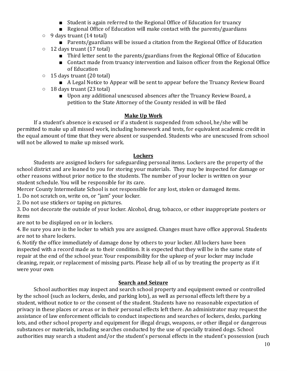- Student is again referred to the Regional Office of Education for truancy
- Regional Office of Education will make contact with the parents/guardians
- $\circ$  9 days truant (14 total)
	- Parents/guardians will be issued a citation from the Regional Office of Education
- 12 days truant (17 total)
	- Third letter sent to the parents/guardians from the Regional Office of Education
	- Contact made from truancy intervention and liaison officer from the Regional Office of Education
- 15 days truant (20 total)
	- A Legal Notice to Appear will be sent to appear before the Truancy Review Board
- 18 days truant (23 total)
	- Upon any additional unexcused absences after the Truancy Review Board, a petition to the State Attorney of the County resided in will be filed

# **Make Up Work**

If a student's absence is excused or if a student is suspended from school, he/she will be permitted to make up all missed work, including homework and tests, for equivalent academic credit in the equal amount of time that they were absent or suspended. Students who are unexcused from school will not be allowed to make up missed work.

# **Lockers**

Students are assigned lockers for safeguarding personal items. Lockers are the property of the school district and are loaned to you for storing your materials. They may be inspected for damage or other reasons without prior notice to the students. The number of your locker is written on your student schedule. You will be responsible for its care.

Mercer County Intermediate School is not responsible for any lost, stolen or damaged items.

1. Do not scratch on, write on, or "jam" your locker.

2. Do not use stickers or taping on pictures.

3. Do not decorate the outside of your locker. Alcohol, drug, tobacco, or other inappropriate posters or items

are not to be displayed on or in lockers.

4. Be sure you are in the locker to which you are assigned. Changes must have office approval. Students are not to share lockers.

6. Notify the office immediately of damage done by others to your locker. All lockers have been inspected with a record made as to their condition. It is expected that they will be in the same state of repair at the end of the school year. Your responsibility for the upkeep of your locker may include cleaning, repair, or replacement of missing parts. Please help all of us by treating the property as if it were your own

# **Search and Seizure**

School authorities may inspect and search school property and equipment owned or controlled by the school (such as lockers, desks, and parking lots), as well as personal effects left there by a student, without notice to or the consent of the student. Students have no reasonable expectation of privacy in these places or areas or in their personal effects left there. An administrator may request the assistance of law enforcement officials to conduct inspections and searches of lockers, desks, parking lots, and other school property and equipment for illegal drugs, weapons, or other illegal or dangerous substances or materials, including searches conducted by the use of specially trained dogs. School authorities may search a student and/or the student's personal effects in the student's possession (such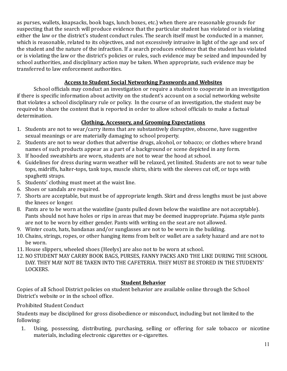as purses, wallets, knapsacks, book bags, lunch boxes, etc.) when there are reasonable grounds for suspecting that the search will produce evidence that the particular student has violated or is violating either the law or the district's student conduct rules. The search itself must be conducted in a manner, which is reasonable, related to its objectives, and not excessively intrusive in light of the age and sex of the student and the nature of the infraction. If a search produces evidence that the student has violated or is violating the law or the district's policies or rules, such evidence may be seized and impounded by school authorities, and disciplinary action may be taken. When appropriate, such evidence may be transferred to law enforcement authorities.

# **Access to Student Social Networking Passwords and Websites**

School officials may conduct an investigation or require a student to cooperate in an investigation if there is specific information about activity on the student's account on a social networking website that violates a school disciplinary rule or policy. In the course of an investigation, the student may be required to share the content that is reported in order to allow school officials to make a factual determination.

# **Clothing, Accessory, and Grooming Expectations**

- 1. Students are not to wear/carry items that are substantively disruptive, obscene, have suggestive sexual meanings or are materially damaging to school property.
- 2. Students are not to wear clothes that advertise drugs, alcohol, or tobacco; or clothes where brand names of such products appear as a part of a background or scene depicted in any form.
- 3. If hooded sweatshirts are worn, students are not to wear the hood at school.
- 4. Guidelines for dress during warm weather will be relaxed, yet limited. Students are not to wear tube tops, midriffs, halter-tops, tank tops, muscle shirts, shirts with the sleeves cut off, or tops with spaghetti straps.
- 5. Students' clothing must meet at the waist line.
- 6. Shoes or sandals are required.
- 7. Shorts are acceptable, but must be of appropriate length. Skirt and dress lengths must be just above the knees or longer.
- 8. Pants are to be worn at the waistline (pants pulled down below the waistline are not acceptable). Pants should not have holes or rips in areas that may be deemed inappropriate. Pajama style pants are not to be worn by either gender. Pants with writing on the seat are not allowed.
- 9. Winter coats, hats, bandanas and/or sunglasses are not to be worn in the building.
- 10. Chains, strings, ropes, or other hanging items from belt or wallet are a safety hazard and are not to be worn.
- 11.House slippers, wheeled shoes (Heelys) are also not to be worn at school.
- 12.NO STUDENT MAY CARRY BOOK BAGS, PURSES, FANNY PACKS AND THE LIKE DURING THE SCHOOL DAY. THEY MAY NOT BE TAKEN INTO THE CAFETERIA. THEY MUST BE STORED IN THE STUDENTS' LOCKERS.

# **Student Behavior**

Copies of all School District policies on student behavior are available online through the School District's website or in the school office.

Prohibited Student Conduct

Students may be disciplined for gross disobedience or misconduct, including but not limited to the following:

1. Using, possessing, distributing, purchasing, selling or offering for sale tobacco or nicotine materials, including electronic cigarettes or e-cigarettes.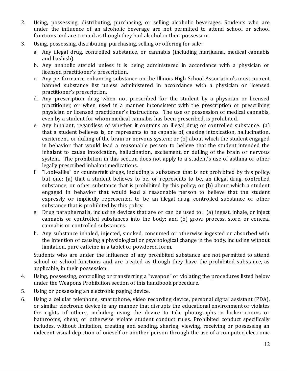- 2. Using, possessing, distributing, purchasing, or selling alcoholic beverages. Students who are under the influence of an alcoholic beverage are not permitted to attend school or school functions and are treated as though they had alcohol in their possession.
- 3. Using, possessing, distributing, purchasing, selling or offering for sale:
	- a. Any illegal drug, controlled substance, or cannabis (including marijuana, medical cannabis and hashish).
	- b. Any anabolic steroid unless it is being administered in accordance with a physician or licensed practitioner's prescription.
	- c. Any performance-enhancing substance on the Illinois High School Association's most current banned substance list unless administered in accordance with a physician or licensed practitioner's prescription.
	- d. Any prescription drug when not prescribed for the student by a physician or licensed practitioner, or when used in a manner inconsistent with the prescription or prescribing physician or licensed practitioner's instructions. The use or possession of medical cannabis, even by a student for whom medical cannabis has been prescribed, is prohibited.
	- e. Any inhalant, regardless of whether it contains an illegal drug or controlled substance: (a) that a student believes is, or represents to be capable of, causing intoxication, hallucination, excitement, or dulling of the brain or nervous system; or (b) about which the student engaged in behavior that would lead a reasonable person to believe that the student intended the inhalant to cause intoxication, hallucination, excitement, or dulling of the brain or nervous system. The prohibition in this section does not apply to a student's use of asthma or other legally prescribed inhalant medications.
	- f. "Look-alike" or counterfeit drugs, including a substance that is not prohibited by this policy, but one: (a) that a student believes to be, or represents to be, an illegal drug, controlled substance, or other substance that is prohibited by this policy; or (b) about which a student engaged in behavior that would lead a reasonable person to believe that the student expressly or impliedly represented to be an illegal drug, controlled substance or other substance that is prohibited by this policy.
	- g. Drug paraphernalia, including devices that are or can be used to: (a) ingest, inhale, or inject cannabis or controlled substances into the body; and (b) grow, process, store, or conceal cannabis or controlled substances.
	- h. Any substance inhaled, injected, smoked, consumed or otherwise ingested or absorbed with the intention of causing a physiological or psychological change in the body, including without limitation, pure caffeine in a tablet or powdered form.

Students who are under the influence of any prohibited substance are not permitted to attend school or school functions and are treated as though they have the prohibited substance, as applicable, in their possession.

- 4. Using, possessing, controlling or transferring a "weapon" or violating the procedures listed below under the Weapons Prohibition section of this handbook procedure.
- 5. Using or possessing an electronic paging device.
- 6. Using a cellular telephone, smartphone, video recording device, personal digital assistant (PDA), or similar electronic device in any manner that disrupts the educational environment or violates the rights of others, including using the device to take photographs in locker rooms or bathrooms, cheat, or otherwise violate student conduct rules. Prohibited conduct specifically includes, without limitation, creating and sending, sharing, viewing, receiving or possessing an indecent visual depiction of oneself or another person through the use of a computer, electronic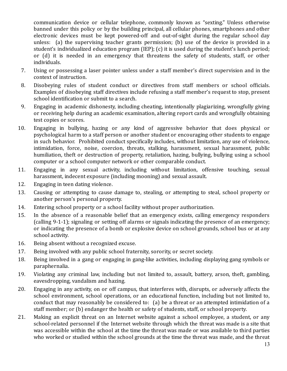communication device or cellular telephone, commonly known as "sexting." Unless otherwise banned under this policy or by the building principal, all cellular phones, smartphones and other electronic devices must be kept powered-off and out-of-sight during the regular school day unless: (a) the supervising teacher grants permission; (b) use of the device is provided in a student's individualized education program (IEP); (c) it is used during the student's lunch period; or (d) it is needed in an emergency that threatens the safety of students, staff, or other individuals.

- 7. Using or possessing a laser pointer unless under a staff member's direct supervision and in the context of instruction.
- 8. Disobeying rules of student conduct or directives from staff members or school officials. Examples of disobeying staff directives include refusing a staff member's request to stop, present school identification or submit to a search.
- 9. Engaging in academic dishonesty, including cheating, intentionally plagiarizing, wrongfully giving or receiving help during an academic examination, altering report cards and wrongfully obtaining test copies or scores.
- 10. Engaging in bullying, hazing or any kind of aggressive behavior that does physical or psychological harm to a staff person or another student or encouraging other students to engage in such behavior. Prohibited conduct specifically includes, without limitation, any use of violence, intimidation, force, noise, coercion, threats, stalking, harassment, sexual harassment, public humiliation, theft or destruction of property, retaliation, hazing, bullying, bullying using a school computer or a school computer network or other comparable conduct.
- 11. Engaging in any sexual activity, including without limitation, offensive touching, sexual harassment, indecent exposure (including mooning) and sexual assault.
- 12. Engaging in teen dating violence.
- 13. Causing or attempting to cause damage to, stealing, or attempting to steal, school property or another person's personal property.
- 14. Entering school property or a school facility without proper authorization.
- 15. In the absence of a reasonable belief that an emergency exists, calling emergency responders (calling 9-1-1); signaling or setting off alarms or signals indicating the presence of an emergency; or indicating the presence of a bomb or explosive device on school grounds, school bus or at any school activity.
- 16. Being absent without a recognized excuse.
- 17. Being involved with any public school fraternity, sorority, or secret society.
- 18. Being involved in a gang or engaging in gang-like activities, including displaying gang symbols or paraphernalia.
- 19. Violating any criminal law, including but not limited to, assault, battery, arson, theft, gambling, eavesdropping, vandalism and hazing.
- 20. Engaging in any activity, on or off campus, that interferes with, disrupts, or adversely affects the school environment, school operations, or an educational function, including but not limited to, conduct that may reasonably be considered to: (a) be a threat or an attempted intimidation of a staff member; or (b) endanger the health or safety of students, staff, or school property.
- 21. Making an explicit threat on an Internet website against a school employee, a student, or any school-related personnel if the Internet website through which the threat was made is a site that was accessible within the school at the time the threat was made or was available to third parties who worked or studied within the school grounds at the time the threat was made, and the threat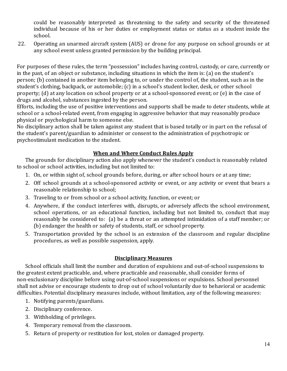could be reasonably interpreted as threatening to the safety and security of the threatened individual because of his or her duties or employment status or status as a student inside the school.

22. Operating an unarmed aircraft system (AUS) or drone for any purpose on school grounds or at any school event unless granted permission by the building principal.

For purposes of these rules, the term "possession" includes having control, custody, or care, currently or in the past, of an object or substance, including situations in which the item is: (a) on the student's person; (b) contained in another item belonging to, or under the control of, the student, such as in the student's clothing, backpack, or automobile; (c) in a school's student locker, desk, or other school property; (d) at any location on school property or at a school-sponsored event; or (e) in the case of drugs and alcohol, substances ingested by the person.

Efforts, including the use of positive interventions and supports shall be made to deter students, while at school or a school-related event, from engaging in aggressive behavior that may reasonably produce physical or psychological harm to someone else.

No disciplinary action shall be taken against any student that is based totally or in part on the refusal of the student's parent/guardian to administer or consent to the administration of psychotropic or psychostimulant medication to the student.

# **When and Where Conduct Rules Apply**

The grounds for disciplinary action also apply whenever the student's conduct is reasonably related to school or school activities, including but not limited to:

- 1. On, or within sight of, school grounds before, during, or after school hours or at any time;
- 2. Off school grounds at a school-sponsored activity or event, or any activity or event that bears a reasonable relationship to school;
- 3. Traveling to or from school or a school activity, function, or event; or
- 4. Anywhere, if the conduct interferes with, disrupts, or adversely affects the school environment, school operations, or an educational function, including but not limited to, conduct that may reasonably be considered to: (a) be a threat or an attempted intimidation of a staff member; or (b) endanger the health or safety of students, staff, or school property.
- 5. Transportation provided by the school is an extension of the classroom and regular discipline procedures, as well as possible suspension, apply.

# **Disciplinary Measures**

School officials shall limit the number and duration of expulsions and out-of-school suspensions to the greatest extent practicable, and, where practicable and reasonable, shall consider forms of non-exclusionary discipline before using out-of-school suspensions or expulsions. School personnel shall not advise or encourage students to drop out of school voluntarily due to behavioral or academic difficulties. Potential disciplinary measures include, without limitation, any of the following measures:

- 1. Notifying parents/guardians.
- 2. Disciplinary conference.
- 3. Withholding of privileges.
- 4. Temporary removal from the classroom.
- 5. Return of property or restitution for lost, stolen or damaged property.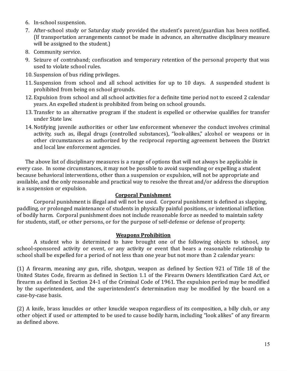- 6. In-school suspension.
- 7. After-school study or Saturday study provided the student's parent/guardian has been notified. (If transportation arrangements cannot be made in advance, an alternative disciplinary measure will be assigned to the student.)
- 8. Community service.
- 9. Seizure of contraband; confiscation and temporary retention of the personal property that was used to violate school rules.
- 10. Suspension of bus riding privileges.
- 11. Suspension from school and all school activities for up to 10 days. A suspended student is prohibited from being on school grounds.
- 12. Expulsion from school and all school activities for a definite time period not to exceed 2 calendar years. An expelled student is prohibited from being on school grounds.
- 13. Transfer to an alternative program if the student is expelled or otherwise qualifies for transfer under State law.
- 14.Notifying juvenile authorities or other law enforcement whenever the conduct involves criminal activity, such as, illegal drugs (controlled substances), "look-alikes," alcohol or weapons or in other circumstances as authorized by the reciprocal reporting agreement between the District and local law enforcement agencies.

The above list of disciplinary measures is a range of options that will not always be applicable in every case. In some circumstances, it may not be possible to avoid suspending or expelling a student because behavioral interventions, other than a suspension or expulsion, will not be appropriate and available, and the only reasonable and practical way to resolve the threat and/or address the disruption is a suspension or expulsion.

## **Corporal Punishment**

Corporal punishment is illegal and will not be used. Corporal punishment is defined as slapping, paddling, or prolonged maintenance of students in physically painful positions, or intentional infliction of bodily harm. Corporal punishment does not include reasonable force as needed to maintain safety for students, staff, or other persons, or for the purpose of self-defense or defense of property.

## **Weapons Prohibition**

A student who is determined to have brought one of the following objects to school, any school-sponsored activity or event, or any activity or event that bears a reasonable relationship to school shall be expelled for a period of not less than one year but not more than 2 calendar years:

(1) A firearm, meaning any gun, rifle, shotgun, weapon as defined by Section 921 of Title 18 of the United States Code, firearm as defined in Section 1.1 of the Firearm Owners Identification Card Act, or firearm as defined in Section 24-1 of the Criminal Code of 1961. The expulsion period may be modified by the superintendent, and the superintendent's determination may be modified by the board on a case-by-case basis.

(2) A knife, brass knuckles or other knuckle weapon regardless of its composition, a billy club, or any other object if used or attempted to be used to cause bodily harm, including "look alikes" of any firearm as defined above.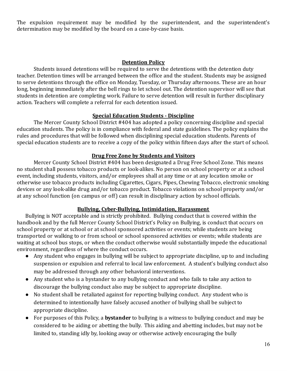The expulsion requirement may be modified by the superintendent, and the superintendent's determination may be modified by the board on a case-by-case basis.

## **Detention Policy**

Students issued detentions will be required to serve the detentions with the detention duty teacher. Detention times will be arranged between the office and the student. Students may be assigned to serve detentions through the office on Monday, Tuesday, or Thursday afternoons. These are an hour long, beginning immediately after the bell rings to let school out. The detention supervisor will see that students in detention are completing work. Failure to serve detention will result in further disciplinary action. Teachers will complete a referral for each detention issued.

## **Special Education Students - Discipline**

The Mercer County School District #404 has adopted a policy concerning discipline and special education students. The policy is in compliance with federal and state guidelines. The policy explains the rules and procedures that will be followed when disciplining special education students. Parents of special education students are to receive a copy of the policy within fifteen days after the start of school.

# **Drug Free Zone by Students and Visitors**

Mercer County School District #404 has been designated a Drug Free School Zone. This means no student shall possess tobacco products or look-alikes. No person on school property or at a school event, including students, visitors, and/or employees shall at any time or at any location smoke or otherwise use tobacco products including Cigarettes, Cigars, Pipes, Chewing Tobacco, electronic smoking devices or any look-alike drug and/or tobacco product. Tobacco violations on school property and/or at any school function (on campus or off) can result in disciplinary action by school officials.

# **Bullying, Cyber-Bullying, Intimidation, Harassment**

Bullying is NOT acceptable and is strictly prohibited. Bullying conduct that is covered within the handbook and by the full Mercer County School District's Policy on Bullying, is conduct that occurs on school property or at school or at school sponsored activities or events; while students are being transported or walking to or from school or school sponsored activities or events; while students are waiting at school bus stops, or when the conduct otherwise would substantially impede the educational environment, regardless of where the conduct occurs.

- Any student who engages in bullying will be subject to appropriate discipline, up to and including suspension or expulsion and referral to local law enforcement. A student's bullying conduct also may be addressed through any other behavioral interventions.
- Any student who is a bystander to any bullying conduct and who fails to take any action to discourage the bullying conduct also may be subject to appropriate discipline.
- No student shall be retaliated against for reporting bullying conduct. Any student who is determined to intentionally have falsely accused another of bullying shall be subject to appropriate discipline.
- For purposes of this Policy, a **bystander** to bullying is a witness to bullying conduct and may be considered to be aiding or abetting the bully. This aiding and abetting includes, but may not be limited to, standing idly by, looking away or otherwise actively encouraging the bully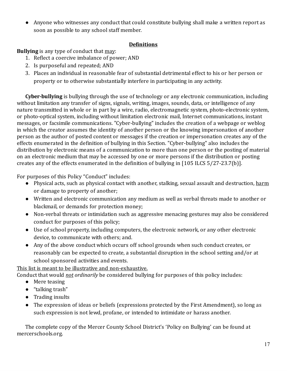● Anyone who witnesses any conduct that could constitute bullying shall make a written report as soon as possible to any school staff member.

# **Definitions**

**Bullying** is any type of conduct that may:

- 1. Reflect a coercive imbalance of power; AND
- 2. Is purposeful and repeated; AND
- 3. Places an individual in reasonable fear of substantial detrimental effect to his or her person or property or to otherwise substantially interfere in participating in any activity.

**Cyber-bullying** is bullying through the use of technology or any electronic communication, including without limitation any transfer of signs, signals, writing, images, sounds, data, or intelligence of any nature transmitted in whole or in part by a wire, radio, electromagnetic system, photo-electronic system, or photo-optical system, including without limitation electronic mail, Internet communications, instant messages, or facsimile communications. "Cyber-bullying" includes the creation of a webpage or weblog in which the creator assumes the identity of another person or the knowing impersonation of another person as the author of posted content or messages if the creation or impersonation creates any of the effects enumerated in the definition of bullying in this Section. "Cyber-bullying" also includes the distribution by electronic means of a communication to more than one person or the posting of material on an electronic medium that may be accessed by one or more persons if the distribution or posting creates any of the effects enumerated in the definition of bullying in [105 ILCS 5/27-23.7(b)].

For purposes of this Policy "Conduct" includes:

- Physical acts, such as physical contact with another, stalking, sexual assault and destruction, harm or damage to property of another;
- Written and electronic communication any medium as well as verbal threats made to another or blackmail, or demands for protection money;
- Non-verbal threats or intimidation such as aggressive menacing gestures may also be considered conduct for purposes of this policy;
- Use of school property, including computers, the electronic network, or any other electronic device, to communicate with others; and.
- Any of the above conduct which occurs off school grounds when such conduct creates, or reasonably can be expected to create, a substantial disruption in the school setting and/or at school sponsored activities and events.

This list is meant to be illustrative and non-exhaustive. Conduct that would *not ordinarily* be considered bullying for purposes of this policy includes:

- Mere teasing
- "talking trash"
- Trading insults
- The expression of ideas or beliefs (expressions protected by the First Amendment), so long as such expression is not lewd, profane, or intended to intimidate or harass another.

The complete copy of the Mercer County School District's 'Policy on Bullying' can be found at mercerschools.org.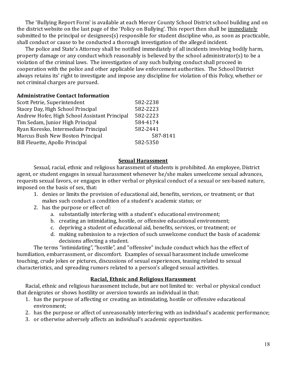The 'Bullying Report Form' is available at each Mercer County School District school building and on the district website on the last page of the 'Policy on Bullying'. This report then shall be immediately submitted to the principal or designees(s) responsible for student discipline who, as soon as practicable, shall conduct or cause to be conducted a thorough investigation of the alleged incident.

The police and State's Attorney shall be notified immediately of all incidents involving bodily harm, property damage or any conduct which reasonably is believed by the school administrator(s) to be a violation of the criminal laws. The investigation of any such bullying conduct shall proceed in cooperation with the police and other applicable law enforcement authorities. The School District always retains its' right to investigate and impose any discipline for violation of this Policy, whether or not criminal charges are pursued.

## **Administrative Contact Information**

| Scott Petrie, Superintendent                  | 582-2238 |
|-----------------------------------------------|----------|
| Stacey Day, High School Principal             | 582-2223 |
| Andrew Hofer, High School Assistant Principal | 582-2223 |
| Tim Sedam, Junior High Principal              | 584-4174 |
| Ryan Koresko, Intermediate Principal          | 582-2441 |
| Marcus Bush New Boston Principal              | 587-8141 |
| Bill Fleuette, Apollo Principal               | 582-5350 |
|                                               |          |

#### **Sexual Harassment**

Sexual, racial, ethnic and religious harassment of students is prohibited. An employee, District agent, or student engages in sexual harassment whenever he/she makes unwelcome sexual advances, requests sexual favors, or engages in other verbal or physical conduct of a sexual or sex-based nature, imposed on the basis of sex, that:

- 1. denies or limits the provision of educational aid, benefits, services, or treatment; or that makes such conduct a condition of a student's academic status; or
- 2. has the purpose or effect of:
	- a. substantially interfering with a student's educational environment;
	- b. creating an intimidating, hostile, or offensive educational environment;
	- c. depriving a student of educational aid, benefits, services, or treatment; or
	- d. making submission to a rejection of such unwelcome conduct the basis of academic decisions affecting a student.

The terms "intimidating", "hostile", and "offensive" include conduct which has the effect of humiliation, embarrassment, or discomfort. Examples of sexual harassment include unwelcome touching, crude jokes or pictures, discussions of sexual experiences, teasing related to sexual characteristics, and spreading rumors related to a person's alleged sexual activities.

# **Racial, Ethnic and Religious Harassment**

Racial, ethnic and religious harassment include, but are not limited to: verbal or physical conduct that denigrates or shows hostility or aversion towards an individual in that:

- 1. has the purpose of affecting or creating an intimidating, hostile or offensive educational environment;
- 2. has the purpose or affect of unreasonably interfering with an individual's academic performance;
- 3. or otherwise adversely affects an individual's academic opportunities.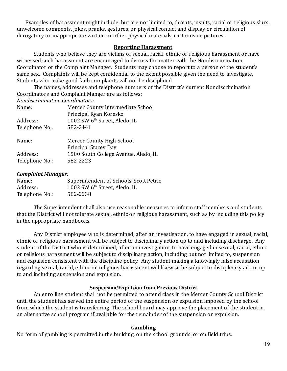Examples of harassment might include, but are not limited to, threats, insults, racial or religious slurs, unwelcome comments, jokes, pranks, gestures, or physical contact and display or circulation of derogatory or inappropriate written or other physical materials, cartoons or pictures.

#### **Reporting Harassment**

Students who believe they are victims of sexual, racial, ethnic or religious harassment or have witnessed such harassment are encouraged to discuss the matter with the Nondiscrimination Coordinator or the Complaint Manager. Students may choose to report to a person of the student's same sex. Complaints will be kept confidential to the extent possible given the need to investigate. Students who make good faith complaints will not be disciplined.

The names, addresses and telephone numbers of the District's current Nondiscrimination Coordinators and Complaint Manger are as follows:

*Nondiscrimination Coordinators:*

| Name:          | Mercer County Intermediate School<br>Principal Ryan Koresko |
|----------------|-------------------------------------------------------------|
| Address:       | 1002 SW 6 <sup>th</sup> Street, Aledo, IL                   |
| Telephone No.: | 582-2441                                                    |
| Name:          | Mercer County High School                                   |
|                | <b>Principal Stacey Day</b>                                 |
| Address:       | 1500 South College Avenue, Aledo, IL                        |
| Telephone No.: | 582-2223                                                    |

#### *Complaint Manager:*

| Name:          | Superintendent of Schools, Scott Petrie   |
|----------------|-------------------------------------------|
| Address:       | 1002 SW 6 <sup>th</sup> Street, Aledo, IL |
| Telephone No.: | 582-2238                                  |

The Superintendent shall also use reasonable measures to inform staff members and students that the District will not tolerate sexual, ethnic or religious harassment, such as by including this policy in the appropriate handbooks.

Any District employee who is determined, after an investigation, to have engaged in sexual, racial, ethnic or religious harassment will be subject to disciplinary action up to and including discharge. Any student of the District who is determined, after an investigation, to have engaged in sexual, racial, ethnic or religious harassment will be subject to disciplinary action, including but not limited to, suspension and expulsion consistent with the discipline policy. Any student making a knowingly false accusation regarding sexual, racial, ethnic or religious harassment will likewise be subject to disciplinary action up to and including suspension and expulsion.

#### **Suspension/Expulsion from Previous District**

An enrolling student shall not be permitted to attend class in the Mercer County School District until the student has served the entire period of the suspension or expulsion imposed by the school from which the student is transferring. The school board may approve the placement of the student in an alternative school program if available for the remainder of the suspension or expulsion.

#### **Gambling**

No form of gambling is permitted in the building, on the school grounds, or on field trips.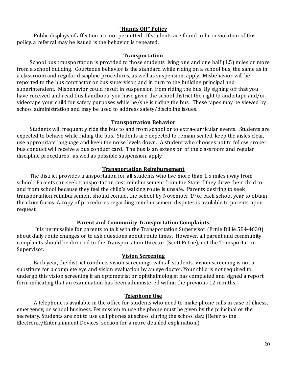## **"Hands Off" Policy**

Public displays of affection are not permitted. If students are found to be in violation of this policy, a referral may be issued is the behavior is repeated.

#### **Transportation**

School bus transportation is provided to those students living one and one half (1.5) miles or more from a school building. Courteous behavior is the standard while riding on a school bus, the same as in a classroom and regular discipline procedures, as well as suspension, apply. Misbehavior will be reported to the bus contractor or bus supervisor, and in turn to the building principal and superintendent. Misbehavior could result in suspension from riding the bus. By signing off that you have received and read this handbook, you have given the school district the right to audiotape and/or videotape your child for safety purposes while he/she is riding the bus. These tapes may be viewed by school administration and may be used to address safety/discipline issues.

## **Transportation Behavior**

Students will frequently ride the bus to and from school or to extra-curricular events. Students are expected to behave while riding the bus. Students are expected to remain seated, keep the aisles clear, use appropriate language and keep the noise levels down. A student who chooses not to follow proper bus conduct will receive a bus conduct card. The bus is an extension of the classroom and regular discipline procedures , as well as possible suspension, apply.

## **Transportation Reimbursement**

The district provides transportation for all students who live more than 1.5 miles away from school. Parents can seek transportation cost reimbursement from the State if they drive their child to and from school because they feel the child's walking route is unsafe. Parents desiring to seek transportation reimbursement should contact the school by November  $1<sup>st</sup>$  of each school year to obtain the claim forms. A copy of procedures regarding reimbursement disputes is available to parents upon request.

## **Parent and Community Transportation Complaints**

It is permissible for parents to talk with the Transportation Supervisor (Ernie Dillie 584-4630) about daily route changes or to ask questions about route times. However, all parent and community complaints should be directed to the Transportation Director (Scott Petrie), not the Transportation Supervisor.

#### **Vision Screening**

Each year, the district conducts vision screenings with all students. Vision screening is not a substitute for a complete eye and vision evaluation by an eye doctor. Your child is not required to undergo this vision screening if an optometrist or ophthalmologist has completed and signed a report form indicating that an examination has been administered within the previous 12 months.

#### **Telephone Use**

A telephone is available in the office for students who need to make phone calls in case of illness, emergency, or school business. Permission to use the phone must be given by the principal or the secretary. Students are not to use cell phones at school during the school day. (Refer to the Electronic/Entertainment Devices' section for a more detailed explanation.)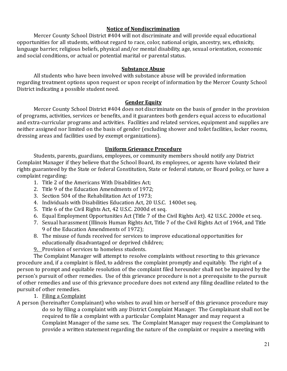## **Notice of Nondiscrimination**

Mercer County School District #404 will not discriminate and will provide equal educational opportunities for all students, without regard to race, color, national origin, ancestry, sex, ethnicity, language barrier, religious beliefs, physical and/or mental disability, age, sexual orientation, economic and social conditions, or actual or potential marital or parental status.

#### **Substance Abuse**

All students who have been involved with substance abuse will be provided information regarding treatment options upon request or upon receipt of information by the Mercer County School District indicating a possible student need.

#### **Gender Equity**

Mercer County School District #404 does not discriminate on the basis of gender in the provision of programs, activities, services or benefits, and it guarantees both genders equal access to educational and extra-curricular programs and activities. Facilities and related services, equipment and supplies are neither assigned nor limited on the basis of gender (excluding shower and toilet facilities, locker rooms, dressing areas and facilities used by exempt organizations).

## **Uniform Grievance Procedure**

Students, parents, guardians, employees, or community members should notify any District Complaint Manager if they believe that the School Board, its employees, or agents have violated their rights guaranteed by the State or federal Constitution, State or federal statute, or Board policy, or have a complaint regarding:

- 1. Title 2 of the Americans With Disabilities Act;
- 2. Title 9 of the Education Amendments of 1972;
- 3. Section 504 of the Rehabilitation Act of 1973;
- 4. Individuals with Disabilities Education Act, 20 U.S.C. 1400et seq.
- 5. Title 6 of the Civil Rights Act, 42 U.S.C. 2000d et seq.
- 6. Equal Employment Opportunities Act (Title 7 of the Civil Rights Act). 42 U.S.C. 2000e et seq.
- 7. Sexual harassment (Illinois Human Rights Act, Title 7 of the Civil Rights Act of 1964, and Title 9 of the Education Amendments of 1972);
- 8. The misuse of funds received for services to improve educational opportunities for educationally disadvantaged or deprived children;
- 9. Provision of services to homeless students.

The Complaint Manager will attempt to resolve complaints without resorting to this grievance procedure and, if a complaint is filed, to address the complaint promptly and equitably. The right of a person to prompt and equitable resolution of the complaint filed hereunder shall not be impaired by the person's pursuit of other remedies. Use of this grievance procedure is not a prerequisite to the pursuit of other remedies and use of this grievance procedure does not extend any filing deadline related to the pursuit of other remedies.

1. Filing a Complaint

A person (hereinafter Complainant) who wishes to avail him or herself of this grievance procedure may do so by filing a complaint with any District Complaint Manager. The Complainant shall not be required to file a complaint with a particular Complaint Manager and may request a Complaint Manager of the same sex. The Complaint Manager may request the Complainant to provide a written statement regarding the nature of the complaint or require a meeting with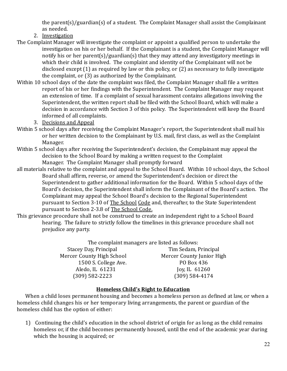the parent(s)/guardian(s) of a student. The Complaint Manager shall assist the Complainant as needed.

- 2. Investigation
- The Complaint Manager will investigate the complaint or appoint a qualified person to undertake the investigation on his or her behalf. If the Complainant is a student, the Complaint Manager will notify his or her parent(s)/guardian(s) that they may attend any investigatory meetings in which their child is involved. The complaint and identity of the Complainant will not be disclosed except (1) as required by law or this policy, or (2) as necessary to fully investigate the complaint, or (3) as authorized by the Complainant.
- Within 10 school days of the date the complaint was filed, the Complaint Manager shall file a written report of his or her findings with the Superintendent. The Complaint Manager may request an extension of time. If a complaint of sexual harassment contains allegations involving the Superintendent, the written report shall be filed with the School Board, which will make a decision in accordance with Section 3 of this policy. The Superintendent will keep the Board informed of all complaints.
	- 3. Decisions and Appeal
- Within 5 school days after receiving the Complaint Manager's report, the Superintendent shall mail his or her written decision to the Complainant by U.S. mail, first class, as well as the Complaint Manager.
- Within 5 school days after receiving the Superintendent's decision, the Complainant may appeal the decision to the School Board by making a written request to the Complaint Manager. The Complaint Manager shall promptly forward
- all materials relative to the complaint and appeal to the School Board. Within 10 school days, the School Board shall affirm, reverse, or amend the Superintendent's decision or direct the Superintendent to gather additional information for the Board. Within 5 school days of the Board's decision, the Superintendent shall inform the Complainant of the Board's action. The Complainant may appeal the School Board's decision to the Regional Superintendent pursuant to Section 3-10 of The School Code and, thereafter, to the State Superintendent pursuant to Section 2-3.8 of The School Code.
- This grievance procedure shall not be construed to create an independent right to a School Board hearing. The failure to strictly follow the timelines in this grievance procedure shall not prejudice any party.

The complaint managers are listed as follows: Stacey Day, Principal Tim Sedam, Principal Mercer County High School Mercer County Junior High 1500 S. College Ave. PO Box 436 Aledo, IL 61231 Joy, IL 61260 (309) 582-2223 (309) 584-4174

# **Homeless Child's Right to Education**

When a child loses permanent housing and becomes a homeless person as defined at law, or when a homeless child changes his or her temporary living arrangements, the parent or guardian of the homeless child has the option of either:

1) Continuing the child's education in the school district of origin for as long as the child remains homeless or, if the child becomes permanently housed, until the end of the academic year during which the housing is acquired; or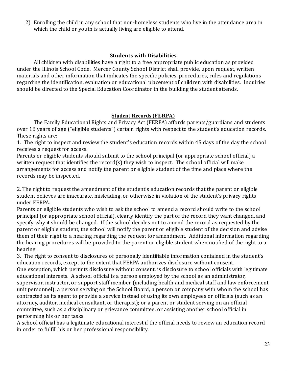2) Enrolling the child in any school that non-homeless students who live in the attendance area in which the child or youth is actually living are eligible to attend.

## **Students with Disabilities**

All children with disabilities have a right to a free appropriate public education as provided under the Illinois School Code. Mercer County School District shall provide, upon request, written materials and other information that indicates the specific policies, procedures, rules and regulations regarding the identification, evaluation or educational placement of children with disabilities. Inquiries should be directed to the Special Education Coordinator in the building the student attends.

## **Student Records (FERPA)**

The Family Educational Rights and Privacy Act (FERPA) affords parents/guardians and students over 18 years of age ("eligible students") certain rights with respect to the student's education records. These rights are:

1. The right to inspect and review the student's education records within 45 days of the day the school receives a request for access.

Parents or eligible students should submit to the school principal (or appropriate school official) a written request that identifies the record(s) they wish to inspect. The school official will make arrangements for access and notify the parent or eligible student of the time and place where the records may be inspected.

2. The right to request the amendment of the student's education records that the parent or eligible student believes are inaccurate, misleading, or otherwise in violation of the student's privacy rights under FERPA.

Parents or eligible students who wish to ask the school to amend a record should write to the school principal (or appropriate school official), clearly identify the part of the record they want changed, and specify why it should be changed. If the school decides not to amend the record as requested by the parent or eligible student, the school will notify the parent or eligible student of the decision and advise them of their right to a hearing regarding the request for amendment. Additional information regarding the hearing procedures will be provided to the parent or eligible student when notified of the right to a hearing.

3. The right to consent to disclosures of personally identifiable information contained in the student's education records, except to the extent that FERPA authorizes disclosure without consent. One exception, which permits disclosure without consent, is disclosure to school officials with legitimate educational interests. A school official is a person employed by the school as an administrator, supervisor, instructor, or support staff member (including health and medical staff and law enforcement unit personnel); a person serving on the School Board; a person or company with whom the school has contracted as its agent to provide a service instead of using its own employees or officials (such as an attorney, auditor, medical consultant, or therapist); or a parent or student serving on an official committee, such as a disciplinary or grievance committee, or assisting another school official in performing his or her tasks.

A school official has a legitimate educational interest if the official needs to review an education record in order to fulfill his or her professional responsibility.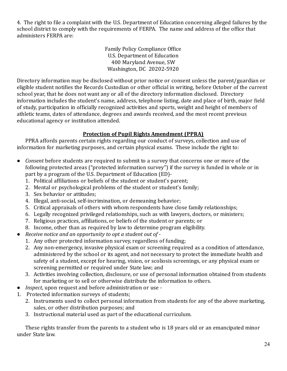4. The right to file a complaint with the U.S. Department of Education concerning alleged failures by the school district to comply with the requirements of FERPA. The name and address of the office that administers FERPA are:

> Family Policy Compliance Office U.S. Department of Education 400 Maryland Avenue, SW Washington, DC 20202-5920

Directory information may be disclosed without prior notice or consent unless the parent/guardian or eligible student notifies the Records Custodian or other official in writing, before October of the current school year, that he does not want any or all of the directory information disclosed. Directory information includes the student's name, address, telephone listing, date and place of birth, major field of study, participation in officially recognized activities and sports, weight and height of members of athletic teams, dates of attendance, degrees and awards received, and the most recent previous educational agency or institution attended.

# **Protection of Pupil Rights Amendment (PPRA)**

PPRA affords parents certain rights regarding our conduct of surveys, collection and use of information for marketing purposes, and certain physical exams. These include the right to:

- *Consent* before students are required to submit to a survey that concerns one or more of the following protected areas ("protected information survey") if the survey is funded in whole or in part by a program of the U.S. Department of Education (ED)-
	- 1. Political affiliations or beliefs of the student or student's parent;
	- 2. Mental or psychological problems of the student or student's family;
	- 3. Sex behavior or attitudes;
	- 4. Illegal, anti-social, self-incrimination, or demeaning behavior;
	- 5. Critical appraisals of others with whom respondents have close family relationships;
	- 6. Legally recognized privileged relationships, such as with lawyers, doctors, or ministers;
	- 7. Religious practices, affiliations, or beliefs of the student or parents; or
	- 8. Income, other than as required by law to determine program eligibility.
- *Receive notice and an opportunity to opt a student out of*
	- 1. Any other protected information survey, regardless of funding;
	- 2. Any non-emergency, invasive physical exam or screening required as a condition of attendance, administered by the school or its agent, and not necessary to protect the immediate health and safety of a student, except for hearing, vision, or scoliosis screenings, or any physical exam or screening permitted or required under State law; and
	- 3. Activities involving collection, disclosure, or use of personal information obtained from students for marketing or to sell or otherwise distribute the information to others.
- *Inspect*, upon request and before administration or use -
- 1. Protected information surveys of students;
	- 2. Instruments used to collect personal information from students for any of the above marketing, sales, or other distribution purposes; and
	- 3. Instructional material used as part of the educational curriculum.

These rights transfer from the parents to a student who is 18 years old or an emancipated minor under State law.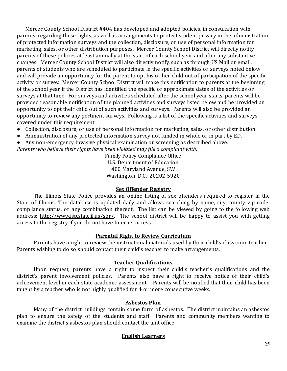Mercer County School District #404 has developed and adopted policies, in consultation with parents, regarding these rights, as well as arrangements to protect student privacy in the administration of protected information surveys and the collection, disclosure, or use of personal information for marketing, sales, or other distribution purposes. Mercer County School District will directly notify parents of these policies at least annually at the start of each school year and after any substantive changes. Mercer County School District will also directly notify, such as through US Mail or email, parents of students who are scheduled to participate in the specific activities or surveys noted below and will provide an opportunity for the parent to opt his or her child out of participation of the specific activity or survey. Mercer County School District will make this notification to parents at the beginning of the school year if the District has identified the specific or approximate dates of the activities or surveys at that time. For surveys and activities scheduled after the school year starts, parents will be provided reasonable notification of the planned activities and surveys listed below and be provided an opportunity to opt their child out of such activities and surveys. Parents will also be provided an opportunity to review any pertinent surveys. Following is a list of the specific activities and surveys covered under this requirement:

- Collection, disclosure, or use of personal information for marketing, sales, or other distribution.
- Administration of any protected information survey not funded in whole or in part by ED.
- Any non-emergency, invasive physical examination or screening as described above.

*Parents who believe their rights have been violated may file a complaint with:*

Family Policy Compliance Office U.S. Department of Education 400 Maryland Avenue, SW Washington, D.C. 20202-5920

## **Sex Offender Registry**

The Illinois State Police provides an online listing of sex offenders required to register in the State of Illinois. The database is updated daily and allows searching by name, city, county, zip code, compliance status, or any combination thereof. The list can be viewed by going to the following web address: <http://www.isp.state.il.us/sor/>. The school district will be happy to assist you with getting access to the registry if you do not have Internet access.

## **Parental Right to Review Curriculum**

Parents have a right to review the instructional materials used by their child's classroom teacher. Parents wishing to do so should contact their child's teacher to make arrangements.

## **Teacher Qualifications**

Upon request, parents have a right to inspect their child's teacher's qualifications and the district's parent involvement policies. Parents also have a right to receive notice of their child's achievement level in each state academic assessment. Parents will be notified that their child has been taught by a teacher who is not highly qualified for 4 or more consecutive weeks.

# **Asbestos Plan**

Many of the district buildings contain some form of asbestos. The district maintains an asbestos plan to ensure the safety of the students and staff. Parents and community members wanting to examine the district's asbestos plan should contact the unit office.

# **English Learners**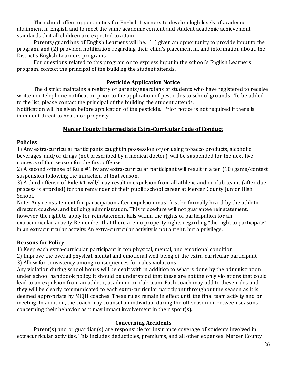The school offers opportunities for English Learners to develop high levels of academic attainment in English and to meet the same academic content and student academic achievement standards that all children are expected to attain.

Parents/guardians of English Learners will be: (1) given an opportunity to provide input to the program, and (2) provided notification regarding their child's placement in, and information about, the District's English Learners programs.

For questions related to this program or to express input in the school's English Learners program, contact the principal of the building the student attends.

# **Pesticide Application Notice**

The district maintains a registry of parents/guardians of students who have registered to receive written or telephone notification prior to the application of pesticides to school grounds. To be added to the list, please contact the principal of the building the student attends.

Notification will be given before application of the pesticide. Prior notice is not required if there is imminent threat to health or property.

# **Mercer County Intermediate Extra-Curricular Code of Conduct**

## **Policies**

1) Any extra-curricular participants caught in possession of/or using tobacco products, alcoholic beverages, and/or drugs (not prescribed by a medical doctor), will be suspended for the next five contests of that season for the first offense.

2) A second offense of Rule #1 by any extra-curricular participant will result in a ten (10) game/contest suspension following the infraction of that season.

3) A third offense of Rule #1 will/ may result in expulsion from all athletic and or club teams (after due process is afforded) for the remainder of their public school career at Mercer County Junior High School.

Note: Any reinstatement for participation after expulsion must first be formally heard by the athletic director, coaches, and building administration. This procedure will not guarantee reinstatement, however, the right to apply for reinstatement falls within the rights of participation for an extracurricular activity. Remember that there are no property rights regarding "the right to participate" in an extracurricular activity. An extra-curricular activity is not a right, but a privilege.

# **Reasons for Policy**

1) Keep each extra-curricular participant in top physical, mental, and emotional condition

2) Improve the overall physical, mental and emotional well-being of the extra-curricular participant 3) Allow for consistency among consequences for rules violations

Any violation during school hours will be dealt with in addition to what is done by the administration under school handbook policy. It should be understood that these are not the only violations that could lead to an expulsion from an athletic, academic or club team. Each coach may add to these rules and they will be clearly communicated to each extra-curricular participant throughout the season as it is deemed appropriate by MCJH coaches. These rules remain in effect until the final team activity and or meeting. In addition, the coach may counsel an individual during the off-season or between seasons concerning their behavior as it may impact involvement in their sport(s).

# **Concerning Accidents**

Parent(s) and or guardian(s) are responsible for insurance coverage of students involved in extracurricular activities. This includes deductibles, premiums, and all other expenses. Mercer County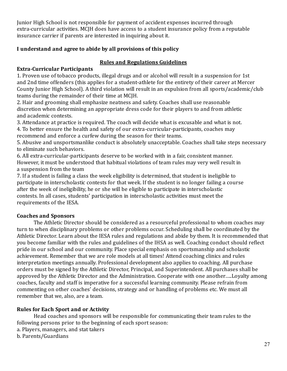Junior High School is not responsible for payment of accident expenses incurred through extra-curricular activities. MCJH does have access to a student insurance policy from a reputable insurance carrier if parents are interested in inquiring about it.

# **I understand and agree to abide by all provisions of this policy**

# **Rules and Regulations Guidelines**

# **Extra-Curricular Participants**

1. Proven use of tobacco products, illegal drugs and or alcohol will result in a suspension for 1st and 2nd time offenders (this applies for a student-athlete for the entirety of their career at Mercer County Junior High School). A third violation will result in an expulsion from all sports/academic/club teams during the remainder of their time at MCJH.

2. Hair and grooming shall emphasize neatness and safety. Coaches shall use reasonable discretion when determining an appropriate dress code for their players to and from athletic and academic contests.

3. Attendance at practice is required. The coach will decide what is excusable and what is not. 4. To better ensure the health and safety of our extra-curricular-participants, coaches may recommend and enforce a curfew during the season for their teams.

5. Abusive and unsportsmanlike conduct is absolutely unacceptable. Coaches shall take steps necessary to eliminate such behaviors.

6. All extra-curricular-participants deserve to be worked with in a fair, consistent manner. However, it must be understood that habitual violations of team rules may very well result in a suspension from the team

7. If a student is failing a class the week eligibility is determined, that student is ineligible to participate in interscholastic contests for that week. If the student is no longer failing a course after the week of ineligibility, he or she will be eligible to participate in interscholastic contests. In all cases, students' participation in interscholastic activities must meet the requirements of the IESA.

# **Coaches and Sponsors**

The Athletic Director should be considered as a resourceful professional to whom coaches may turn to when disciplinary problems or other problems occur. Scheduling shall be coordinated by the Athletic Director. Learn about the IESA rules and regulations and abide by them. It is recommended that you become familiar with the rules and guidelines of the IHSA as well. Coaching conduct should reflect pride in our school and our community. Place special emphasis on sportsmanship and scholastic achievement. Remember that we are role models at all times! Attend coaching clinics and rules interpretation meetings annually. Professional development also applies to coaching. All purchase orders must be signed by the Athletic Director, Principal, and Superintendent. All purchases shall be approved by the Athletic Director and the Administration. Cooperate with one another…..Loyalty among coaches, faculty and staff is imperative for a successful learning community. Please refrain from commenting on other coaches' decisions, strategy and or handling of problems etc. We must all remember that we, also, are a team.

# **Rules for Each Sport and or Activity**

Head coaches and sponsors will be responsible for communicating their team rules to the following persons prior to the beginning of each sport season:

a. Players, managers, and stat takers

b. Parents/Guardians